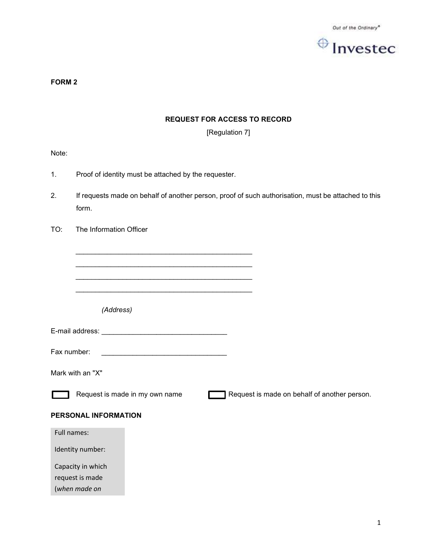

FORM 2

# REQUEST FOR ACCESS TO RECORD

[Regulation 7]

Note:

- 1. Proof of identity must be attached by the requester.
- 2. If requests made on behalf of another person, proof of such authorisation, must be attached to this form.
- TO: The Information Officer

| (Address)                                                                                                                            |                                              |
|--------------------------------------------------------------------------------------------------------------------------------------|----------------------------------------------|
|                                                                                                                                      |                                              |
| Fax number:<br><u> 2000 - Paris Alexandria de Paris de la Paris de la provincia de la provincia de la provincia de la provincia </u> |                                              |
| Mark with an "X"                                                                                                                     |                                              |
| Request is made in my own name                                                                                                       | Request is made on behalf of another person. |
| PERSONAL INFORMATION                                                                                                                 |                                              |
| Full names:                                                                                                                          |                                              |
| Identity number:                                                                                                                     |                                              |
| Capacity in which                                                                                                                    |                                              |
| request is made                                                                                                                      |                                              |
| (when made on                                                                                                                        |                                              |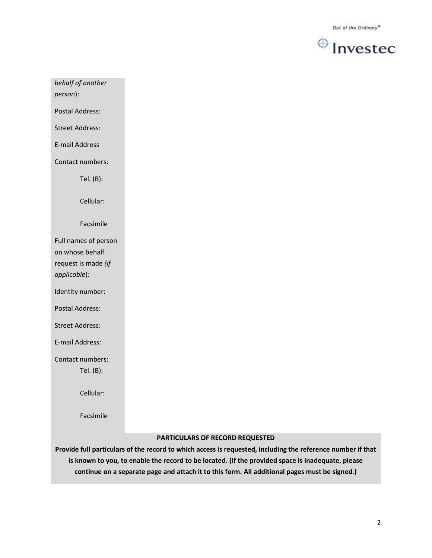

behalf of another

person):

Postal Address:

Street Address:

E-mail Address

Contact numbers:

Tel. (B):

Cellular:

Facsimile

Full names of person on whose behalf request is made (if applicable):

Identity number:

Postal Address:

Street Address:

E-mail Address:

Contact numbers:

Tel. (B):

Cellular:

Facsimile

#### PARTICULARS OF RECORD REQUESTED

Provide full particulars of the record to which access is requested, including the reference number if that is known to you, to enable the record to be located. (If the provided space is inadequate, please continue on a separate page and attach it to this form. All additional pages must be signed.)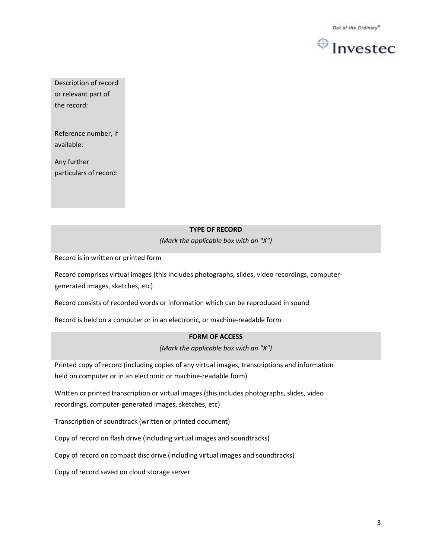

Description of record or relevant part of the record:

Reference number, if available:

Any further particulars of record:

## TYPE OF RECORD

(Mark the applicable box with an "X")

Record is in written or printed form

Record comprises virtual images (this includes photographs, slides, video recordings, computergenerated images, sketches, etc)

Record consists of recorded words or information which can be reproduced in sound

Record is held on a computer or in an electronic, or machine-readable form

### FORM OF ACCESS

(Mark the applicable box with an "X")

Printed copy of record (including copies of any virtual images, transcriptions and information held on computer or in an electronic or machine-readable form)

Written or printed transcription or virtual images (this includes photographs, slides, video recordings, computer-generated images, sketches, etc)

Transcription of soundtrack (written or printed document)

Copy of record on flash drive (including virtual images and soundtracks)

Copy of record on compact disc drive (including virtual images and soundtracks)

Copy of record saved on cloud storage server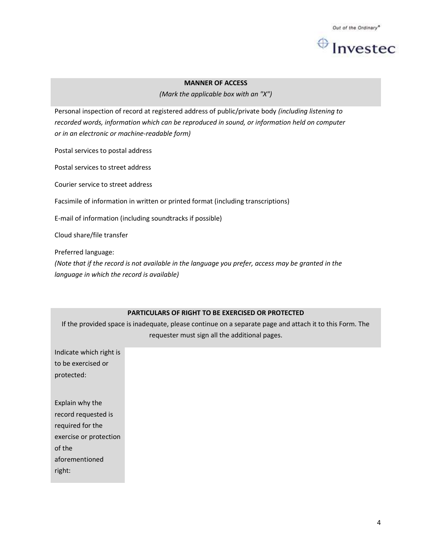

#### MANNER OF ACCESS

(Mark the applicable box with an "X")

Personal inspection of record at registered address of public/private body (including listening to recorded words, information which can be reproduced in sound, or information held on computer or in an electronic or machine-readable form)

Postal services to postal address

Postal services to street address

Courier service to street address

Facsimile of information in written or printed format (including transcriptions)

E-mail of information (including soundtracks if possible)

Cloud share/file transfer

Preferred language:

(Note that if the record is not available in the language you prefer, access may be granted in the language in which the record is available)

#### PARTICULARS OF RIGHT TO BE EXERCISED OR PROTECTED

If the provided space is inadequate, please continue on a separate page and attach it to this Form. The requester must sign all the additional pages.

Indicate which right is to be exercised or protected: Explain why the record requested is required for the exercise or protection of the aforementioned right: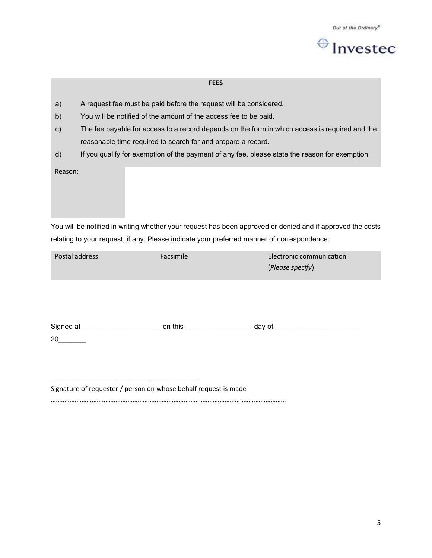

#### **FEES**

- a) A request fee must be paid before the request will be considered.
- b) You will be notified of the amount of the access fee to be paid.
- c) The fee payable for access to a record depends on the form in which access is required and the reasonable time required to search for and prepare a record.
- d) If you qualify for exemption of the payment of any fee, please state the reason for exemption.

Reason:

You will be notified in writing whether your request has been approved or denied and if approved the costs relating to your request, if any. Please indicate your preferred manner of correspondence:

| Postal address | Facsimile | Electronic communication |
|----------------|-----------|--------------------------|
|                |           | (Please specify)         |
|                |           |                          |

| Signed at | on this | day of |
|-----------|---------|--------|
| 20        |         |        |

Signature of requester / person on whose behalf request is made

\_\_\_\_\_\_\_\_\_\_\_\_\_\_\_\_\_\_\_\_\_\_\_\_\_\_\_\_\_\_\_\_\_\_\_\_\_\_\_\_

…………………………………………………………………………………………………………………………